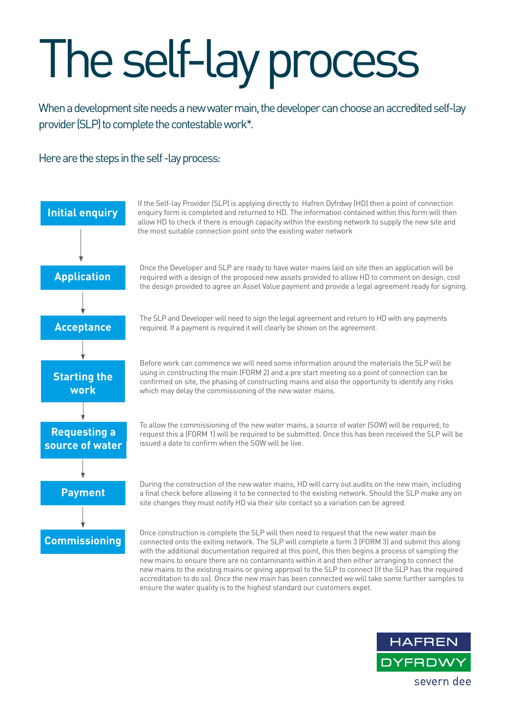## The self-lay process

When a development site needs a new water main, the developer can choose an accredited self-lay provider (SLP) to complete the contestable work\*.

Here are the steps in the self -lay process: